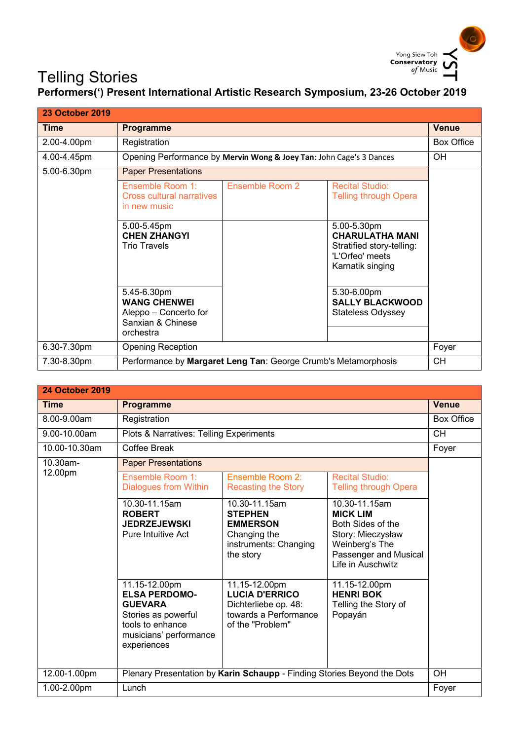

## Telling Stories

## Telling Stories<br>Performers(') Present International Artistic Research Symposium, 23-26 October 2019

| <b>23 October 2019</b> |                                                                                               |                                                                     |                                                                                                           |              |
|------------------------|-----------------------------------------------------------------------------------------------|---------------------------------------------------------------------|-----------------------------------------------------------------------------------------------------------|--------------|
| <b>Time</b>            | <b>Programme</b>                                                                              |                                                                     |                                                                                                           | <b>Venue</b> |
| 2.00-4.00pm            | Registration                                                                                  |                                                                     |                                                                                                           | Box Office   |
| 4.00-4.45pm            |                                                                                               | Opening Performance by Mervin Wong & Joey Tan: John Cage's 3 Dances |                                                                                                           | 0H           |
| 5.00-6.30pm            | <b>Paper Presentations</b>                                                                    |                                                                     |                                                                                                           |              |
|                        | Ensemble Room 1:<br><b>Cross cultural narratives</b><br>in new music                          | <b>Ensemble Room 2</b>                                              | <b>Recital Studio:</b><br><b>Telling through Opera</b>                                                    |              |
|                        | 5.00-5.45pm<br><b>CHEN ZHANGYI</b><br><b>Trio Travels</b>                                     |                                                                     | 5.00-5.30pm<br><b>CHARULATHA MANI</b><br>Stratified story-telling:<br>'L'Orfeo' meets<br>Karnatik singing |              |
|                        | 5.45-6.30pm<br><b>WANG CHENWEI</b><br>Aleppo – Concerto for<br>Sanxian & Chinese<br>orchestra |                                                                     | 5.30-6.00pm<br><b>SALLY BLACKWOOD</b><br><b>Stateless Odyssey</b>                                         |              |
| 6.30-7.30pm            | <b>Opening Reception</b>                                                                      |                                                                     |                                                                                                           | Foyer        |
| 7.30-8.30pm            | Performance by Margaret Leng Tan: George Crumb's Metamorphosis                                |                                                                     |                                                                                                           | CН           |

| <b>24 October 2019</b> |                                                                                                                                             |                                                                                                             |                                                                                                                                            |                   |
|------------------------|---------------------------------------------------------------------------------------------------------------------------------------------|-------------------------------------------------------------------------------------------------------------|--------------------------------------------------------------------------------------------------------------------------------------------|-------------------|
| <b>Time</b>            | <b>Programme</b>                                                                                                                            |                                                                                                             |                                                                                                                                            | <b>Venue</b>      |
| 8.00-9.00am            | Registration                                                                                                                                |                                                                                                             |                                                                                                                                            | <b>Box Office</b> |
| 9.00-10.00am           | Plots & Narratives: Telling Experiments                                                                                                     |                                                                                                             |                                                                                                                                            | <b>CH</b>         |
| 10.00-10.30am          | <b>Coffee Break</b>                                                                                                                         |                                                                                                             |                                                                                                                                            | Foyer             |
| 10.30am-               | <b>Paper Presentations</b>                                                                                                                  |                                                                                                             |                                                                                                                                            |                   |
| 12.00pm                | Ensemble Room 1:<br><b>Dialogues from Within</b>                                                                                            | Ensemble Room 2:<br><b>Recasting the Story</b>                                                              | <b>Recital Studio:</b><br><b>Telling through Opera</b>                                                                                     |                   |
|                        | 10.30-11.15am<br><b>ROBERT</b><br><b>JEDRZEJEWSKI</b><br><b>Pure Intuitive Act</b>                                                          | 10.30-11.15am<br><b>STEPHEN</b><br><b>EMMERSON</b><br>Changing the<br>instruments: Changing<br>the story    | 10.30-11.15am<br><b>MICK LIM</b><br>Both Sides of the<br>Story: Mieczysław<br>Weinberg's The<br>Passenger and Musical<br>Life in Auschwitz |                   |
|                        | 11.15-12.00pm<br><b>ELSA PERDOMO-</b><br><b>GUEVARA</b><br>Stories as powerful<br>tools to enhance<br>musicians' performance<br>experiences | 11.15-12.00pm<br><b>LUCIA D'ERRICO</b><br>Dichterliebe op. 48:<br>towards a Performance<br>of the "Problem" | 11.15-12.00pm<br><b>HENRI BOK</b><br>Telling the Story of<br>Popayán                                                                       |                   |
| 12.00-1.00pm           | Plenary Presentation by Karin Schaupp - Finding Stories Beyond the Dots                                                                     |                                                                                                             |                                                                                                                                            | OH                |
| 1.00-2.00pm            | Lunch                                                                                                                                       |                                                                                                             | Foyer                                                                                                                                      |                   |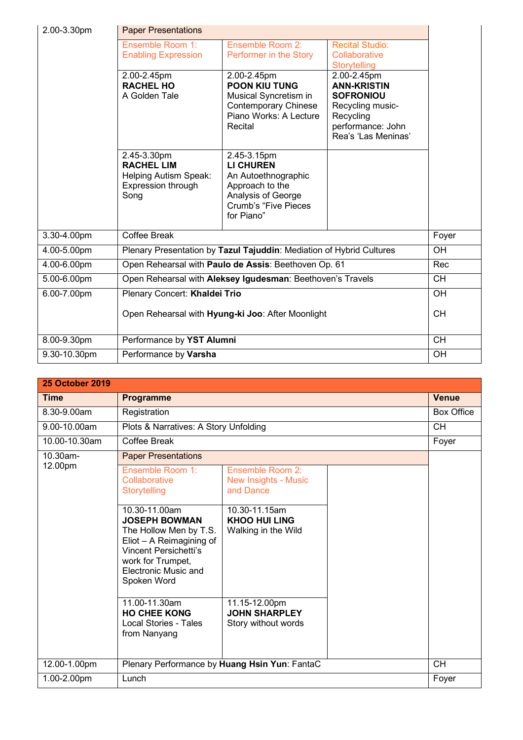| 2.00-3.30pm  | <b>Paper Presentations</b>                                                                     |                                                                                                                                              |                                                                                                                                                         |           |
|--------------|------------------------------------------------------------------------------------------------|----------------------------------------------------------------------------------------------------------------------------------------------|---------------------------------------------------------------------------------------------------------------------------------------------------------|-----------|
|              | Ensemble Room 1:                                                                               | Ensemble Room 2:                                                                                                                             | <b>Recital Studio:</b>                                                                                                                                  |           |
|              | <b>Enabling Expression</b>                                                                     | Performer in the Story                                                                                                                       | Collaborative                                                                                                                                           |           |
|              | 2.00-2.45pm<br><b>RACHEL HO</b><br>A Golden Tale                                               | 2.00-2.45pm<br><b>POON KIU TUNG</b><br>Musical Syncretism in<br><b>Contemporary Chinese</b><br>Piano Works: A Lecture<br>Recital             | Storytelling<br>$2.00 - 2.45$ pm<br><b>ANN-KRISTIN</b><br><b>SOFRONIOU</b><br>Recycling music-<br>Recycling<br>performance: John<br>Rea's 'Las Meninas' |           |
|              | 2.45-3.30pm<br><b>RACHEL LIM</b><br><b>Helping Autism Speak:</b><br>Expression through<br>Song | 2.45-3.15pm<br><b>LI CHUREN</b><br>An Autoethnographic<br>Approach to the<br>Analysis of George<br><b>Crumb's "Five Pieces</b><br>for Piano" |                                                                                                                                                         |           |
| 3.30-4.00pm  | Coffee Break                                                                                   |                                                                                                                                              |                                                                                                                                                         | Foyer     |
| 4.00-5.00pm  | Plenary Presentation by Tazul Tajuddin: Mediation of Hybrid Cultures                           |                                                                                                                                              |                                                                                                                                                         | <b>OH</b> |
| 4.00-6.00pm  | Open Rehearsal with Paulo de Assis: Beethoven Op. 61                                           |                                                                                                                                              |                                                                                                                                                         | Rec       |
| 5.00-6.00pm  | Open Rehearsal with Aleksey Igudesman: Beethoven's Travels                                     |                                                                                                                                              |                                                                                                                                                         | <b>CH</b> |
| 6.00-7.00pm  | Plenary Concert: Khaldei Trio                                                                  |                                                                                                                                              |                                                                                                                                                         | OH        |
|              | Open Rehearsal with Hyung-ki Joo: After Moonlight                                              |                                                                                                                                              | <b>CH</b>                                                                                                                                               |           |
| 8.00-9.30pm  | Performance by YST Alumni                                                                      |                                                                                                                                              |                                                                                                                                                         | <b>CH</b> |
| 9.30-10.30pm | Performance by Varsha                                                                          |                                                                                                                                              |                                                                                                                                                         | OH        |

| <b>25 October 2019</b> |                                                                                                                                                                                         |                                                              |                   |
|------------------------|-----------------------------------------------------------------------------------------------------------------------------------------------------------------------------------------|--------------------------------------------------------------|-------------------|
| <b>Time</b>            | Programme                                                                                                                                                                               |                                                              | <b>Venue</b>      |
| 8.30-9.00am            | Registration                                                                                                                                                                            |                                                              | <b>Box Office</b> |
| 9.00-10.00am           | Plots & Narratives: A Story Unfolding                                                                                                                                                   |                                                              | <b>CH</b>         |
| 10.00-10.30am          | <b>Coffee Break</b>                                                                                                                                                                     |                                                              | Foyer             |
| 10.30am-               | <b>Paper Presentations</b>                                                                                                                                                              |                                                              |                   |
| 12.00pm                | Ensemble Room 1:<br>Collaborative<br>Storytelling                                                                                                                                       | Ensemble Room 2:<br><b>New Insights - Music</b><br>and Dance |                   |
|                        | 10.30-11.00am<br><b>JOSEPH BOWMAN</b><br>The Hollow Men by T.S.<br>Eliot - A Reimagining of<br><b>Vincent Persichetti's</b><br>work for Trumpet,<br>Electronic Music and<br>Spoken Word | 10.30-11.15am<br><b>KHOO HUI LING</b><br>Walking in the Wild |                   |
|                        | 11.00-11.30am<br><b>HO CHEE KONG</b><br>Local Stories - Tales<br>from Nanyang                                                                                                           | 11.15-12.00pm<br><b>JOHN SHARPLEY</b><br>Story without words |                   |
| 12.00-1.00pm           | Plenary Performance by Huang Hsin Yun: FantaC                                                                                                                                           |                                                              | <b>CH</b>         |
| 1.00-2.00pm            | Lunch                                                                                                                                                                                   |                                                              | Foyer             |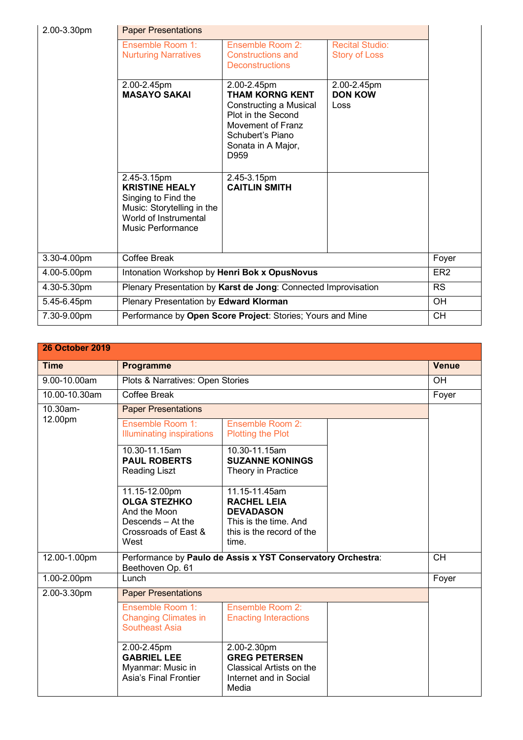| 2.00-3.30pm | <b>Paper Presentations</b>                                                                                                              |                                                                                                                                                              |                                                |                 |
|-------------|-----------------------------------------------------------------------------------------------------------------------------------------|--------------------------------------------------------------------------------------------------------------------------------------------------------------|------------------------------------------------|-----------------|
|             | Ensemble Room 1:<br><b>Nurturing Narratives</b>                                                                                         | Ensemble Room 2:<br><b>Constructions and</b><br><b>Deconstructions</b>                                                                                       | <b>Recital Studio:</b><br><b>Story of Loss</b> |                 |
|             | 2.00-2.45pm<br><b>MASAYO SAKAI</b>                                                                                                      | 2.00-2.45pm<br><b>THAM KORNG KENT</b><br>Constructing a Musical<br>Plot in the Second<br>Movement of Franz<br>Schubert's Piano<br>Sonata in A Major,<br>D959 | 2.00-2.45pm<br><b>DON KOW</b><br>Loss          |                 |
|             | 2.45-3.15pm<br><b>KRISTINE HEALY</b><br>Singing to Find the<br>Music: Storytelling in the<br>World of Instrumental<br>Music Performance | 2.45-3.15pm<br><b>CAITLIN SMITH</b>                                                                                                                          |                                                |                 |
| 3.30-4.00pm | Coffee Break                                                                                                                            |                                                                                                                                                              |                                                | Foyer           |
| 4.00-5.00pm | Intonation Workshop by Henri Bok x OpusNovus                                                                                            |                                                                                                                                                              |                                                | ER <sub>2</sub> |
| 4.30-5.30pm | Plenary Presentation by Karst de Jong: Connected Improvisation                                                                          |                                                                                                                                                              |                                                | <b>RS</b>       |
| 5.45-6.45pm | Plenary Presentation by Edward Klorman                                                                                                  |                                                                                                                                                              |                                                | OH              |
| 7.30-9.00pm | Performance by Open Score Project: Stories; Yours and Mine                                                                              |                                                                                                                                                              |                                                | <b>CH</b>       |

| <b>26 October 2019</b> |                                                                                                           |                                                                                                                        |                 |              |
|------------------------|-----------------------------------------------------------------------------------------------------------|------------------------------------------------------------------------------------------------------------------------|-----------------|--------------|
| <b>Time</b>            | Programme                                                                                                 |                                                                                                                        |                 | <b>Venue</b> |
| 9.00-10.00am           | Plots & Narratives: Open Stories                                                                          |                                                                                                                        |                 | OH           |
| 10.00-10.30am          | <b>Coffee Break</b>                                                                                       |                                                                                                                        |                 | Foyer        |
| 10.30am-               | <b>Paper Presentations</b>                                                                                |                                                                                                                        |                 |              |
| 12.00pm                | Ensemble Room 1:<br><b>Illuminating inspirations</b>                                                      | Ensemble Room 2:<br><b>Plotting the Plot</b>                                                                           |                 |              |
|                        | 10.30-11.15am<br><b>PAUL ROBERTS</b><br><b>Reading Liszt</b>                                              | 10.30-11.15am<br><b>SUZANNE KONINGS</b><br>Theory in Practice                                                          |                 |              |
|                        | 11.15-12.00pm<br><b>OLGA STEZHKO</b><br>And the Moon<br>Descends - At the<br>Crossroads of East &<br>West | 11.15-11.45am<br><b>RACHEL LEIA</b><br><b>DEVADASON</b><br>This is the time. And<br>this is the record of the<br>time. |                 |              |
| 12.00-1.00pm           | Performance by Paulo de Assis x YST Conservatory Orchestra:<br>Beethoven Op. 61                           |                                                                                                                        | $\overline{CH}$ |              |
| 1.00-2.00pm            | Lunch                                                                                                     |                                                                                                                        | Foyer           |              |
| 2.00-3.30pm            | <b>Paper Presentations</b>                                                                                |                                                                                                                        |                 |              |
|                        | Ensemble Room 1:<br><b>Changing Climates in</b><br><b>Southeast Asia</b>                                  | Ensemble Room 2:<br><b>Enacting Interactions</b>                                                                       |                 |              |
|                        | 2.00-2.45pm<br><b>GABRIEL LEE</b><br>Myanmar: Music in<br>Asia's Final Frontier                           | 2.00-2.30pm<br><b>GREG PETERSEN</b><br>Classical Artists on the<br>Internet and in Social<br>Media                     |                 |              |